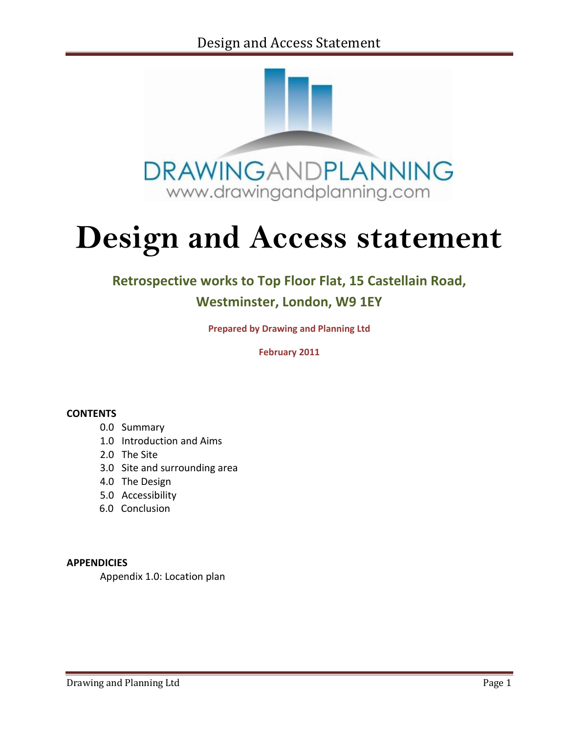

# **Design and Access statement**

# **Retrospective works to Top Floor Flat, 15 Castellain Road,**

# **Westminster, London, W9 1EY**

**Prepared by Drawing and Planning Ltd**

**February 2011**

#### **CONTENTS**

- 0.0 Summary
- 1.0 Introduction and Aims
- 2.0 The Site
- 3.0 Site and surrounding area
- 4.0 The Design
- 5.0 Accessibility
- 6.0 Conclusion

#### **APPENDICIES**

Appendix 1.0: Location plan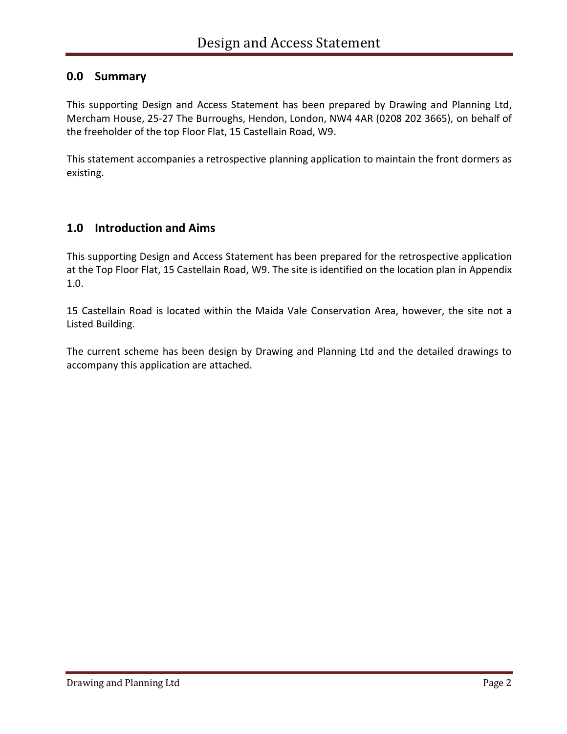## **0.0 Summary**

This supporting Design and Access Statement has been prepared by Drawing and Planning Ltd, Mercham House, 25-27 The Burroughs, Hendon, London, NW4 4AR (0208 202 3665), on behalf of the freeholder of the top Floor Flat, 15 Castellain Road, W9.

This statement accompanies a retrospective planning application to maintain the front dormers as existing.

## **1.0 Introduction and Aims**

This supporting Design and Access Statement has been prepared for the retrospective application at the Top Floor Flat, 15 Castellain Road, W9. The site is identified on the location plan in Appendix 1.0.

15 Castellain Road is located within the Maida Vale Conservation Area, however, the site not a Listed Building.

The current scheme has been design by Drawing and Planning Ltd and the detailed drawings to accompany this application are attached.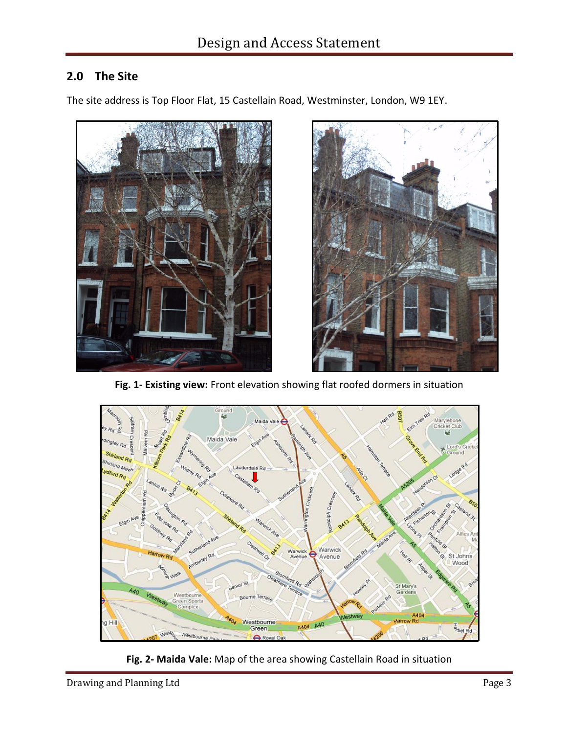# **2.0 The Site**

The site address is Top Floor Flat, 15 Castellain Road, Westminster, London, W9 1EY.





**Fig. 1- Existing view:** Front elevation showing flat roofed dormers in situation



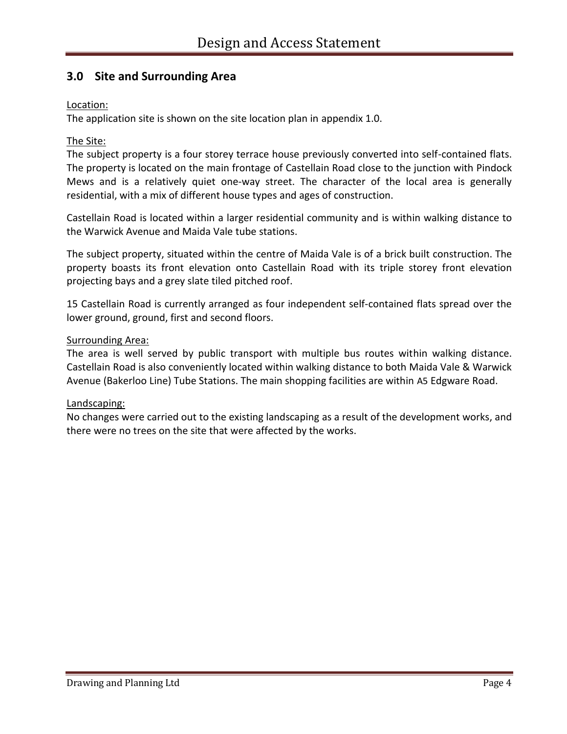## **3.0 Site and Surrounding Area**

#### Location:

The application site is shown on the site location plan in appendix 1.0.

#### The Site:

The subject property is a four storey terrace house previously converted into self-contained flats. The property is located on the main frontage of Castellain Road close to the junction with Pindock Mews and is a relatively quiet one-way street. The character of the local area is generally residential, with a mix of different house types and ages of construction.

Castellain Road is located within a larger residential community and is within walking distance to the Warwick Avenue and Maida Vale tube stations.

The subject property, situated within the centre of Maida Vale is of a brick built construction. The property boasts its front elevation onto Castellain Road with its triple storey front elevation projecting bays and a grey slate tiled pitched roof.

15 Castellain Road is currently arranged as four independent self-contained flats spread over the lower ground, ground, first and second floors.

#### Surrounding Area:

The area is well served by public transport with multiple bus routes within walking distance. Castellain Road is also conveniently located within walking distance to both Maida Vale & Warwick Avenue (Bakerloo Line) Tube Stations. The main shopping facilities are within A5 Edgware Road.

#### Landscaping:

No changes were carried out to the existing landscaping as a result of the development works, and there were no trees on the site that were affected by the works.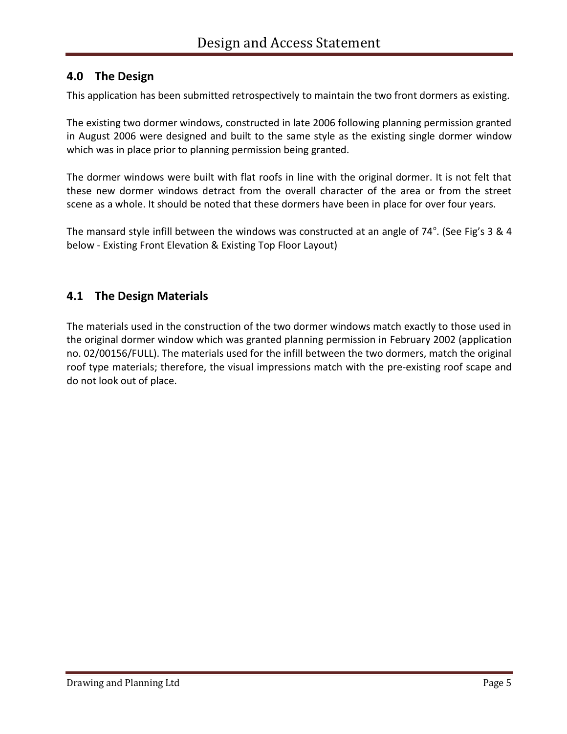## **4.0 The Design**

This application has been submitted retrospectively to maintain the two front dormers as existing.

The existing two dormer windows, constructed in late 2006 following planning permission granted in August 2006 were designed and built to the same style as the existing single dormer window which was in place prior to planning permission being granted.

The dormer windows were built with flat roofs in line with the original dormer. It is not felt that these new dormer windows detract from the overall character of the area or from the street scene as a whole. It should be noted that these dormers have been in place for over four years.

The mansard style infill between the windows was constructed at an angle of 74<sup>°</sup>. (See Fig's 3 & 4 below - Existing Front Elevation & Existing Top Floor Layout)

## **4.1 The Design Materials**

The materials used in the construction of the two dormer windows match exactly to those used in the original dormer window which was granted planning permission in February 2002 (application no. 02/00156/FULL). The materials used for the infill between the two dormers, match the original roof type materials; therefore, the visual impressions match with the pre-existing roof scape and do not look out of place.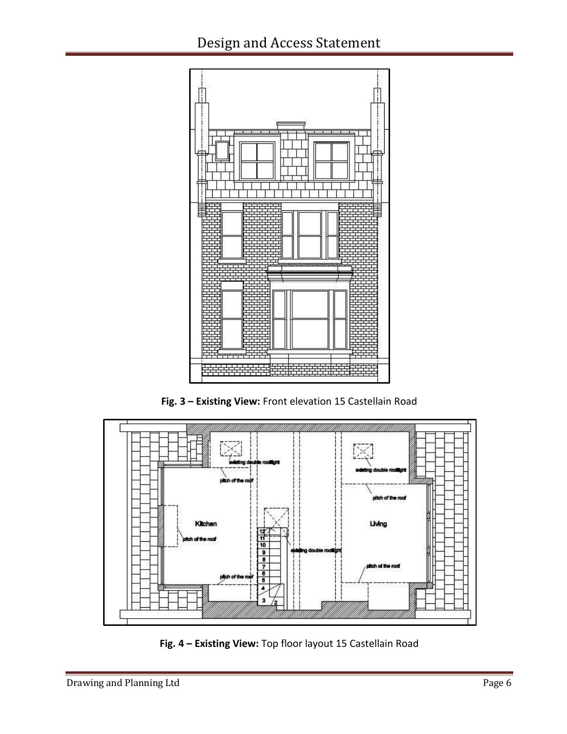

**Fig. 3 – Existing View:** Front elevation 15 Castellain Road



**Fig. 4 – Existing View:** Top floor layout 15 Castellain Road